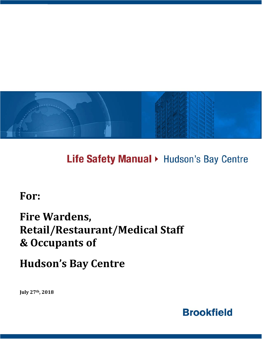

Life Safety Manual > Hudson's Bay Centre

**For:**

# **Fire Wardens, Retail/Restaurant/Medical Staff & Occupants of**

**Hudson's Bay Centre**

**July 27th, 2018**

**Brookfield**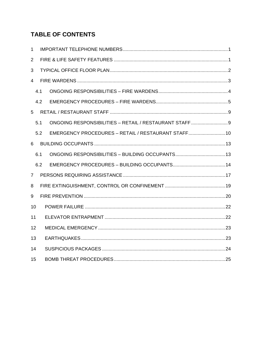# **TABLE OF CONTENTS**

| $\mathbf{1}$   |     |                                                     |  |  |  |  |  |  |
|----------------|-----|-----------------------------------------------------|--|--|--|--|--|--|
| $\overline{2}$ |     |                                                     |  |  |  |  |  |  |
| 3              |     |                                                     |  |  |  |  |  |  |
| 4              |     |                                                     |  |  |  |  |  |  |
|                | 4.1 |                                                     |  |  |  |  |  |  |
|                | 4.2 |                                                     |  |  |  |  |  |  |
| 5              |     |                                                     |  |  |  |  |  |  |
|                | 5.1 |                                                     |  |  |  |  |  |  |
|                | 5.2 | EMERGENCY PROCEDURES - RETAIL / RESTAURANT STAFF 10 |  |  |  |  |  |  |
| 6              |     |                                                     |  |  |  |  |  |  |
|                | 6.1 |                                                     |  |  |  |  |  |  |
|                | 6.2 |                                                     |  |  |  |  |  |  |
| $\overline{7}$ |     |                                                     |  |  |  |  |  |  |
| 8              |     |                                                     |  |  |  |  |  |  |
| 9              |     |                                                     |  |  |  |  |  |  |
| 10             |     |                                                     |  |  |  |  |  |  |
| 11             |     |                                                     |  |  |  |  |  |  |
| 12             |     |                                                     |  |  |  |  |  |  |
| 13             |     |                                                     |  |  |  |  |  |  |
| 14             |     |                                                     |  |  |  |  |  |  |
| 15             |     |                                                     |  |  |  |  |  |  |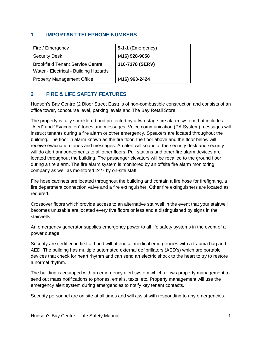## **1 IMPORTANT TELEPHONE NUMBERS**

| Fire / Emergency                        | 9-1-1 (Emergency) |
|-----------------------------------------|-------------------|
| <b>Security Desk</b>                    | (416) 928-9058    |
| <b>Brookfield Tenant Service Centre</b> | 310-7378 (SERV)   |
| Water - Electrical - Building Hazards   |                   |
| Property Management Office              | (416) 963-2424    |

# **2 FIRE & LIFE SAFETY FEATURES**

Hudson's Bay Centre (2 Bloor Street East) is of non-combustible construction and consists of an office tower, concourse level, parking levels and The Bay Retail Store.

The property is fully sprinklered and protected by a two-stage fire alarm system that includes "Alert" and "Evacuation" tones and messages. Voice communication (PA System) messages will instruct tenants during a fire alarm or other emergency. Speakers are located throughout the building. The floor in alarm known as the fire floor, the floor above and the floor below will receive evacuation tones and messages. An alert will sound at the security desk and security will do alert announcements to all other floors. Pull stations and other fire alarm devices are located throughout the building. The passenger elevators will be recalled to the ground floor during a fire alarm. The fire alarm system is monitored by an offsite fire alarm monitoring company as well as monitored 24/7 by on-site staff.

Fire hose cabinets are located throughout the building and contain a fire hose for firefighting, a fire department connection valve and a fire extinguisher. Other fire extinguishers are located as required.

Crossover floors which provide access to an alternative stairwell in the event that your stairwell becomes unusable are located every five floors or less and a distinguished by signs in the stairwells.

An emergency generator supplies emergency power to all life safety systems in the event of a power outage.

Security are certified in first aid and will attend all medical emergencies with a trauma bag and AED. The building has multiple automated external defibrillators (AED's) which are portable devices that check for heart rhythm and can send an electric shock to the heart to try to restore a normal rhythm.

The building is equipped with an emergency alert system which allows property management to send out mass notifications to phones, emails, texts, etc. Property management will use the emergency alert system during emergencies to notify key tenant contacts.

Security personnel are on site at all times and will assist with responding to any emergencies.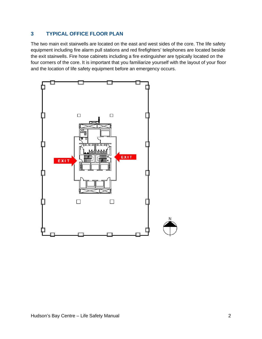# **3 TYPICAL OFFICE FLOOR PLAN**

The two main exit stairwells are located on the east and west sides of the core. The life safety equipment including fire alarm pull stations and red firefighters' telephones are located beside the exit stairwells. Fire hose cabinets including a fire extinguisher are typically located on the four corners of the core. It is important that you familiarize yourself with the layout of your floor and the location of life safety equipment before an emergency occurs.

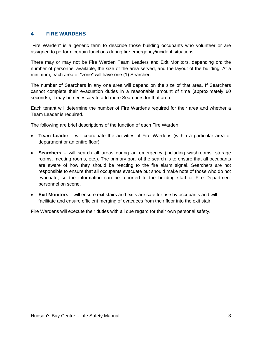### **4 FIRE WARDENS**

"Fire Warden" is a generic term to describe those building occupants who volunteer or are assigned to perform certain functions during fire emergency/incident situations.

There may or may not be Fire Warden Team Leaders and Exit Monitors, depending on: the number of personnel available, the size of the area served, and the layout of the building. At a minimum, each area or "zone" will have one (1) Searcher.

The number of Searchers in any one area will depend on the size of that area. If Searchers cannot complete their evacuation duties in a reasonable amount of time (approximately 60 seconds), it may be necessary to add more Searchers for that area.

Each tenant will determine the number of Fire Wardens required for their area and whether a Team Leader is required.

The following are brief descriptions of the function of each Fire Warden:

- **Team Leader** will coordinate the activities of Fire Wardens (within a particular area or department or an entire floor).
- **Searchers** will search all areas during an emergency (including washrooms, storage rooms, meeting rooms, etc.). The primary goal of the search is to ensure that all occupants are aware of how they should be reacting to the fire alarm signal. Searchers are not responsible to ensure that all occupants evacuate but should make note of those who do not evacuate, so the information can be reported to the building staff or Fire Department personnel on scene.
- **Exit Monitors** will ensure exit stairs and exits are safe for use by occupants and will facilitate and ensure efficient merging of evacuees from their floor into the exit stair.

Fire Wardens will execute their duties with all due regard for their own personal safety.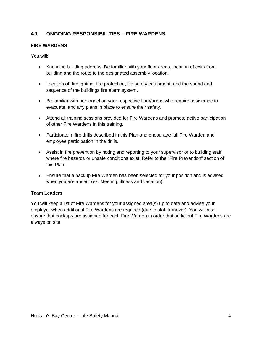# **4.1 ONGOING RESPONSIBILITIES – FIRE WARDENS**

### **FIRE WARDENS**

You will:

- Know the building address. Be familiar with your floor areas, location of exits from building and the route to the designated assembly location.
- Location of: firefighting, fire protection, life safety equipment, and the sound and sequence of the buildings fire alarm system.
- Be familiar with personnel on your respective floor/areas who require assistance to evacuate, and any plans in place to ensure their safety.
- Attend all training sessions provided for Fire Wardens and promote active participation of other Fire Wardens in this training.
- Participate in fire drills described in this Plan and encourage full Fire Warden and employee participation in the drills.
- Assist in fire prevention by noting and reporting to your supervisor or to building staff where fire hazards or unsafe conditions exist. Refer to the "Fire Prevention" section of this Plan.
- Ensure that a backup Fire Warden has been selected for your position and is advised when you are absent (ex. Meeting, illness and vacation).

### **Team Leaders**

You will keep a list of Fire Wardens for your assigned area(s) up to date and advise your employer when additional Fire Wardens are required (due to staff turnover). You will also ensure that backups are assigned for each Fire Warden in order that sufficient Fire Wardens are always on site.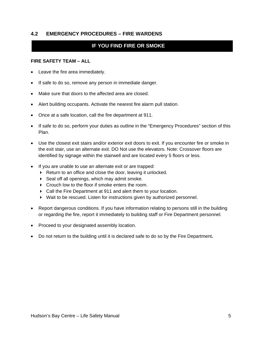### **4.2 EMERGENCY PROCEDURES – FIRE WARDENS**

# **IF YOU FIND FIRE OR SMOKE**

### **FIRE SAFETY TEAM – ALL**

- Leave the fire area immediately.
- If safe to do so, remove any person in immediate danger.
- Make sure that doors to the affected area are closed.
- Alert building occupants. Activate the nearest fire alarm pull station.
- Once at a safe location, call the fire department at 911.
- If safe to do so, perform your duties as outline in the "Emergency Procedures" section of this Plan.
- Use the closest exit stairs and/or exterior exit doors to exit. If you encounter fire or smoke in the exit stair, use an alternate exit. DO Not use the elevators. Note: Crossover floors are identified by signage within the stairwell and are located every 5 floors or less.
- If you are unable to use an alternate exit or are trapped:
	- ▶ Return to an office and close the door, leaving it unlocked.
	- $\triangleright$  Seal off all openings, which may admit smoke.
	- Crouch low to the floor if smoke enters the room.
	- Call the Fire Department at 911 and alert them to your location.
	- Wait to be rescued. Listen for instructions given by authorized personnel.
- Report dangerous conditions. If you have information relating to persons still in the building or regarding the fire, report it immediately to building staff or Fire Department personnel.
- Proceed to your designated assembly location.
- Do not return to the building until it is declared safe to do so by the Fire Department**.**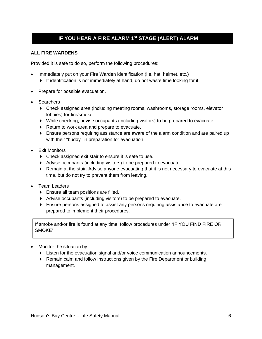# **IF YOU HEAR A FIRE ALARM 1st STAGE (ALERT) ALARM**

### **ALL FIRE WARDENS**

Provided it is safe to do so, perform the following procedures:

- Immediately put on your Fire Warden identification (i.e. hat, helmet, etc.)
	- If identification is not immediately at hand, do not waste time looking for it.
- Prepare for possible evacuation.
- Searchers
	- Check assigned area (including meeting rooms, washrooms, storage rooms, elevator lobbies) for fire/smoke.
	- While checking, advise occupants (including visitors) to be prepared to evacuate.
	- Return to work area and prepare to evacuate.
	- Ensure persons requiring assistance are aware of the alarm condition and are paired up with their "buddy" in preparation for evacuation.
- Exit Monitors
	- ▶ Check assigned exit stair to ensure it is safe to use.
	- Advise occupants (including visitors) to be prepared to evacuate.
	- $\blacktriangleright$  Remain at the stair. Advise anyone evacuating that it is not necessary to evacuate at this time, but do not try to prevent them from leaving.
- Team Leaders
	- **Filter** Ensure all team positions are filled.
	- Advise occupants (including visitors) to be prepared to evacuate.
	- Ensure persons assigned to assist any persons requiring assistance to evacuate are prepared to implement their procedures.

If smoke and/or fire is found at any time, follow procedures under "IF YOU FIND FIRE OR SMOKE"

- Monitor the situation by:
	- Listen for the evacuation signal and/or voice communication announcements.
	- ▶ Remain calm and follow instructions given by the Fire Department or building management.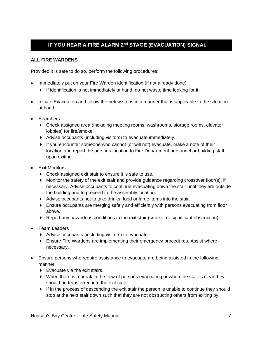# **IF YOU HEAR A FIRE ALARM 2nd STAGE (EVACUATION) SIGNAL**

### **ALL FIRE WARDENS**

Provided it is safe to do so, perform the following procedures:

- Immediately put on your Fire Warden identification (if not already done)
	- If identification is not immediately at hand, do not waste time looking for it.
- Initiate Evacuation and follow the below steps in a manner that is applicable to the situation at hand.
- Searchers
	- Check assigned area (including meeting rooms, washrooms, storage rooms, elevator lobbies) for fire/smoke.
	- Advise occupants (including visitors) to evacuate immediately.
	- $\blacktriangleright$  If you encounter someone who cannot (or will not) evacuate, make a note of their location and report the persons location to Fire Department personnel or building staff upon exiting.
- Exit Monitors
	- ▶ Check assigned exit stair to ensure it is safe to use.
	- $\triangleright$  Monitor the safety of the exit stair and provide guidance regarding crossover floor(s), if necessary. Advise occupants to continue evacuating down the stair until they are outside the building and to proceed to the assembly location.
	- Advise occupants not to take drinks, food or large items into the stair.
	- Ensure occupants are merging safely and efficiently with persons evacuating from floor above.
	- $\blacktriangleright$  Report any hazardous conditions in the exit stair (smoke, or significant obstruction).
- Team Leaders
	- Advise occupants (including visitors) to evacuate.
	- Ensure Fire Wardens are implementing their emergency procedures. Assist where necessary.
- Ensure persons who require assistance to evacuate are being assisted in the following manner:
	- $\triangleright$  Evacuate via the exit stairs.
	- When there is a break in the flow of persons evacuating or when the stair is clear they should be transferred into the exit stair.
	- If in the process of descending the exit stair the person is unable to continue they should stop at the next stair down such that they are not obstructing others from exiting by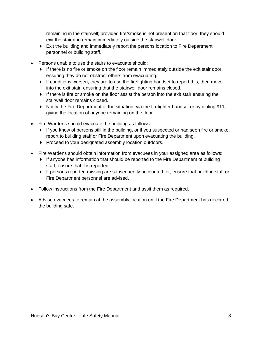remaining in the stairwell; provided fire/smoke is not present on that floor, they should exit the stair and remain immediately outside the stairwell door.

- $\blacktriangleright$  Exit the building and immediately report the persons location to Fire Department personnel or building staff.
- Persons unable to use the stairs to evacuate should:
	- $\blacktriangleright$  If there is no fire or smoke on the floor remain immediately outside the exit stair door, ensuring they do not obstruct others from evacuating.
	- $\blacktriangleright$  If conditions worsen, they are to use the firefighting handset to report this, then move into the exit stair, ensuring that the stairwell door remains closed.
	- If there is fire or smoke on the floor assist the person into the exit stair ensuring the stairwell door remains closed.
	- $\triangleright$  Notify the Fire Department of the situation, via the firefighter handset or by dialing 911, giving the location of anyone remaining on the floor.
- Fire Wardens should evacuate the building as follows:
	- $\blacktriangleright$  If you know of persons still in the building, or if you suspected or had seen fire or smoke, report to building staff or Fire Department upon evacuating the building.
	- Proceed to your designated assembly location outdoors.
- Fire Wardens should obtain information from evacuees in your assigned area as follows:
	- If anyone has information that should be reported to the Fire Department of building staff, ensure that it is reported.
	- If persons reported missing are subsequently accounted for, ensure that building staff or Fire Department personnel are advised.
- Follow instructions from the Fire Department and assit them as required.
- Advise evacuees to remain at the assembly location until the Fire Department has declared the building safe.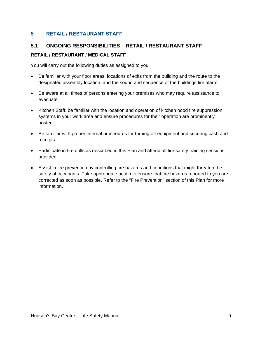# **5 RETAIL / RESTAURANT STAFF**

# **5.1 ONGOING RESPONSIBILITIES – RETAIL / RESTAURANT STAFF**

### **RETAIL / RESTAURANT / MEDICAL STAFF**

You will carry out the following duties as assigned to you:

- Be familiar with your floor areas, locations of exits from the building and the route to the designated assembly location, and the sound and sequence of the buildings fire alarm.
- Be aware at all times of persons entering your premises who may require assistance to evacuate.
- Kitchen Staff: be familiar with the location and operation of kitchen hood fire suppression systems in your work area and ensure procedures for their operation are prominently posted.
- Be familiar with proper internal procedures for turning off equipment and securing cash and receipts.
- Participate in fire drills as described in this Plan and attend all fire safety training sessions provided.
- Assist in fire prevention by controlling fire hazards and conditions that might threaten the safety of occupants. Take appropriate action to ensure that fire hazards reported to you are corrected as soon as possible. Refer to the "Fire Prevention" section of this Plan for more information.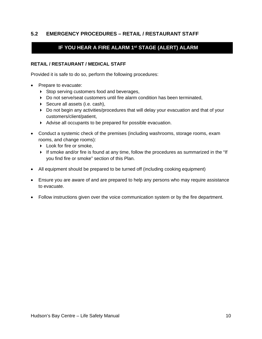# **5.2 EMERGENCY PROCEDURES – RETAIL / RESTAURANT STAFF**

# **IF YOU HEAR A FIRE ALARM 1st STAGE (ALERT) ALARM**

### **RETAIL / RESTAURANT / MEDICAL STAFF**

Provided it is safe to do so, perform the following procedures:

- Prepare to evacuate:
	- Stop serving customers food and beverages,
	- Do not serve/seat customers until fire alarm condition has been terminated,
	- ▶ Secure all assets (i.e. cash),
	- Do not begin any activities/procedures that will delay your evacuation and that of your customers/client/patient,
	- Advise all occupants to be prepared for possible evacuation.
- Conduct a systemic check of the premises (including washrooms, storage rooms, exam rooms, and change rooms):
	- ▶ Look for fire or smoke,
	- If smoke and/or fire is found at any time, follow the procedures as summarized in the "If you find fire or smoke" section of this Plan.
- All equipment should be prepared to be turned off (including cooking equipment)
- Ensure you are aware of and are prepared to help any persons who may require assistance to evacuate.
- Follow instructions given over the voice communication system or by the fire department.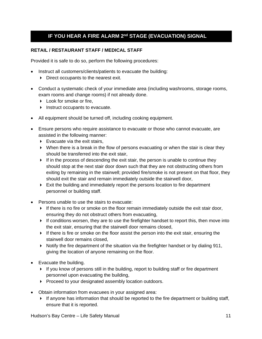# **IF YOU HEAR A FIRE ALARM 2nd STAGE (EVACUATION) SIGNAL**

### **RETAIL / RESTAURANT STAFF / MEDICAL STAFF**

Provided it is safe to do so, perform the following procedures:

- Instruct all customers/clients/patients to evacuate the building:
	- Direct occupants to the nearest exit.
- Conduct a systematic check of your immediate area (including washrooms, storage rooms, exam rooms and change rooms) if not already done.
	- ▶ Look for smoke or fire,
	- $\triangleright$  Instruct occupants to evacuate.
- All equipment should be turned off, including cooking equipment.
- Ensure persons who require assistance to evacuate or those who cannot evacuate, are assisted in the following manner:
	- $\blacktriangleright$  Evacuate via the exit stairs,
	- $\triangleright$  When there is a break in the flow of persons evacuating or when the stair is clear they should be transferred into the exit stair,
	- $\blacktriangleright$  If in the process of descending the exit stair, the person is unable to continue they should stop at the next stair door down such that they are not obstructing others from exiting by remaining in the stairwell; provided fire/smoke is not present on that floor, they should exit the stair and remain immediately outside the stairwell door,
	- $\blacktriangleright$  Exit the building and immediately report the persons location to fire department personnel or building staff.
- Persons unable to use the stairs to evacuate:
	- $\blacktriangleright$  If there is no fire or smoke on the floor remain immediately outside the exit stair door, ensuring they do not obstruct others from evacuating,
	- $\blacktriangleright$  If conditions worsen, they are to use the firefighter handset to report this, then move into the exit stair, ensuring that the stairwell door remains closed,
	- $\triangleright$  If there is fire or smoke on the floor assist the person into the exit stair, ensuring the stairwell door remains closed,
	- $\triangleright$  Notify the fire department of the situation via the firefighter handset or by dialing 911, giving the location of anyone remaining on the floor.
- Evacuate the building.
	- $\blacktriangleright$  If you know of persons still in the building, report to building staff or fire department personnel upon evacuating the building,
	- Proceed to your designated assembly location outdoors.
- Obtain information from evacuees in your assigned area:
	- If anyone has information that should be reported to the fire department or building staff, ensure that it is reported.

Hudson's Bay Centre – Life Safety Manual 11 and 12 and 11 and 11 and 11 and 11 and 11 and 11 and 11 and 11 and 11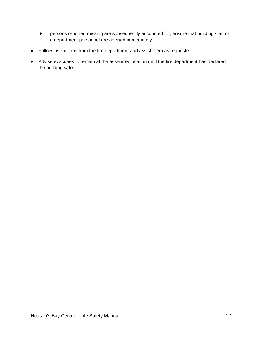- If persons reported missing are subsequently accounted for, ensure that building staff or fire department personnel are advised immediately.
- Follow instructions from the fire department and assist them as requested.
- Advise evacuees to remain at the assembly location until the fire department has declared the building safe.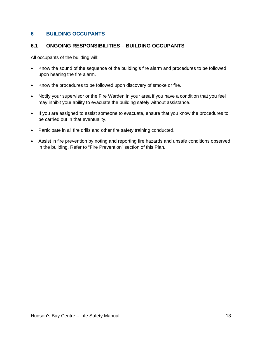# **6 BUILDING OCCUPANTS**

### **6.1 ONGOING RESPONSIBILITIES – BUILDING OCCUPANTS**

All occupants of the building will:

- Know the sound of the sequence of the building's fire alarm and procedures to be followed upon hearing the fire alarm.
- Know the procedures to be followed upon discovery of smoke or fire.
- Notify your supervisor or the Fire Warden in your area if you have a condition that you feel may inhibit your ability to evacuate the building safely without assistance.
- If you are assigned to assist someone to evacuate, ensure that you know the procedures to be carried out in that eventuality.
- Participate in all fire drills and other fire safety training conducted.
- Assist in fire prevention by noting and reporting fire hazards and unsafe conditions observed in the building. Refer to "Fire Prevention" section of this Plan.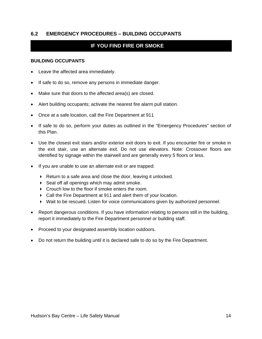### **6.2 EMERGENCY PROCEDURES – BUILDING OCCUPANTS**

# **IF YOU FIND FIRE OR SMOKE**

#### **BUILDING OCCUPANTS**

- Leave the affected area immediately.
- If safe to do so, remove any persons in immediate danger.
- Make sure that doors to the affected area(s) are closed.
- Alert building occupants; activate the nearest fire alarm pull station.
- Once at a safe location, call the Fire Department at 911
- If safe to do so, perform your duties as outlined in the "Emergency Procedures" section of this Plan.
- Use the closest exit stairs and/or exterior exit doors to exit. If you encounter fire or smoke in the exit stair, use an alternate exit. Do not use elevators. Note: Crossover floors are identified by signage within the stairwell and are generally every 5 floors or less.
- If you are unable to use an alternate exit or are trapped:
	- Return to a safe area and close the door, leaving it unlocked.
	- ▶ Seal off all openings which may admit smoke.
	- Crouch low to the floor if smoke enters the room.
	- Call the Fire Department at 911 and alert them of your location.
	- Wait to be rescued. Listen for voice communications given by authorized personnel.
- Report dangerous conditions. If you have information relating to persons still in the building, report it immediately to the Fire Department personnel or building staff.
- Proceed to your designated assembly location outdoors.
- Do not return the building until it is declared safe to do so by the Fire Department.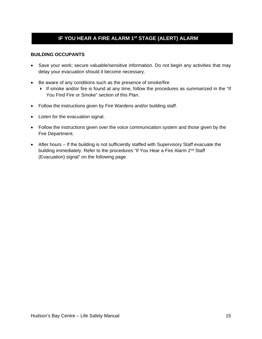# **IF YOU HEAR A FIRE ALARM 1st STAGE (ALERT) ALARM**

### **BUILDING OCCUPANTS**

- Save your work; secure valuable/sensitive information. Do not begin any activities that may delay your evacuation should it become necessary.
- Be aware of any conditions such as the presence of smoke/fire:
	- If smoke and/or fire is found at any time, follow the procedures as summarized in the "If You Find Fire or Smoke" section of this Plan.
- Follow the instructions given by Fire Wardens and/or building staff.
- Listen for the evacuation signal.
- Follow the instructions given over the voice communication system and those given by the Fire Department.
- After hours If the building is not sufficiently staffed with Supervisory Staff evacuate the building immediately. Refer to the procedures "If You Hear a Fire Alarm 2<sup>nd</sup> Staff (Evacuation) signal" on the following page.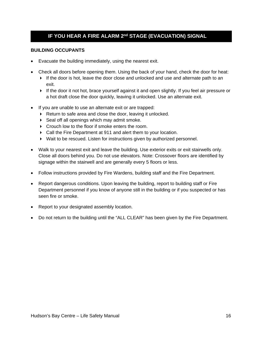# **IF YOU HEAR A FIRE ALARM 2nd STAGE (EVACUATION) SIGNAL**

#### **BUILDING OCCUPANTS**

- Evacuate the building immediately, using the nearest exit.
- Check all doors before opening them. Using the back of your hand, check the door for heat:
	- If the door is hot, leave the door close and unlocked and use and alternate path to an exit.
	- If the door it not hot, brace yourself against it and open slightly. If you feel air pressure or a hot draft close the door quickly, leaving it unlocked. Use an alternate exit.
- If you are unable to use an alternate exit or are trapped:
	- Return to safe area and close the door, leaving it unlocked.
	- ▶ Seal off all openings which may admit smoke.
	- Crouch low to the floor if smoke enters the room.
	- Call the Fire Department at 911 and alert them to your location.
	- Wait to be rescued. Listen for instructions given by authorized personnel.
- Walk to your nearest exit and leave the building. Use exterior exits or exit stairwells only. Close all doors behind you. Do not use elevators. Note: Crossover floors are identified by signage within the stairwell and are generally every 5 floors or less.
- Follow instructions provided by Fire Wardens, building staff and the Fire Department.
- Report dangerous conditions. Upon leaving the building, report to building staff or Fire Department personnel if you know of anyone still in the building or if you suspected or has seen fire or smoke.
- Report to your designated assembly location.
- Do not return to the building until the "ALL CLEAR" has been given by the Fire Department.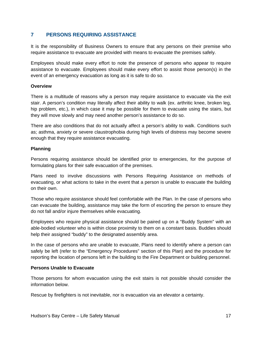# **7 PERSONS REQUIRING ASSISTANCE**

It is the responsibility of Business Owners to ensure that any persons on their premise who require assistance to evacuate are provided with means to evacuate the premises safely.

Employees should make every effort to note the presence of persons who appear to require assistance to evacuate. Employees should make every effort to assist those person(s) in the event of an emergency evacuation as long as it is safe to do so.

### **Overview**

There is a multitude of reasons why a person may require assistance to evacuate via the exit stair. A person's condition may literally affect their ability to walk (ex. arthritic knee, broken leg, hip problem, etc.), in which case it may be possible for them to evacuate using the stairs, but they will move slowly and may need another person's assistance to do so.

There are also conditions that do not actually affect a person's ability to walk. Conditions such as; asthma, anxiety or severe claustrophobia during high levels of distress may become severe enough that they require assistance evacuating.

### **Planning**

Persons requiring assistance should be identified prior to emergencies, for the purpose of formulating plans for their safe evacuation of the premises.

Plans need to involve discussions with Persons Requiring Assistance on methods of evacuating, or what actions to take in the event that a person is unable to evacuate the building on their own.

Those who require assistance should feel comfortable with the Plan. In the case of persons who can evacuate the building, assistance may take the form of escorting the person to ensure they do not fall and/or injure themselves while evacuating.

Employees who require physical assistance should be paired up on a "Buddy System" with an able-bodied volunteer who is within close proximity to them on a constant basis. Buddies should help their assigned "buddy" to the designated assembly area.

In the case of persons who are unable to evacuate, Plans need to identify where a person can safely be left (refer to the "Emergency Procedures" section of this Plan) and the procedure for reporting the location of persons left in the building to the Fire Department or building personnel.

### **Persons Unable to Evacuate**

Those persons for whom evacuation using the exit stairs is not possible should consider the information below.

Rescue by firefighters is not inevitable, nor is evacuation via an elevator a certainty.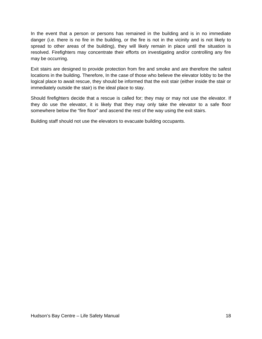In the event that a person or persons has remained in the building and is in no immediate danger (i.e. there is no fire in the building, or the fire is not in the vicinity and is not likely to spread to other areas of the building), they will likely remain in place until the situation is resolved. Firefighters may concentrate their efforts on investigating and/or controlling any fire may be occurring.

Exit stairs are designed to provide protection from fire and smoke and are therefore the safest locations in the building. Therefore, In the case of those who believe the elevator lobby to be the logical place to await rescue, they should be informed that the exit stair (either inside the stair or immediately outside the stair) is the ideal place to stay.

Should firefighters decide that a rescue is called for; they may or may not use the elevator. If they do use the elevator, it is likely that they may only take the elevator to a safe floor somewhere below the "fire floor" and ascend the rest of the way using the exit stairs.

Building staff should not use the elevators to evacuate building occupants.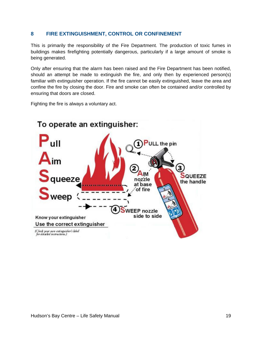### **8 FIRE EXTINGUISHMENT, CONTROL OR CONFINEMENT**

This is primarily the responsibility of the Fire Department. The production of toxic fumes in buildings makes firefighting potentially dangerous, particularly if a large amount of smoke is being generated.

Only after ensuring that the alarm has been raised and the Fire Department has been notified, should an attempt be made to extinguish the fire, and only then by experienced person(s) familiar with extinguisher operation. If the fire cannot be easily extinguished, leave the area and confine the fire by closing the door. Fire and smoke can often be contained and/or controlled by ensuring that doors are closed.

Fighting the fire is always a voluntary act.

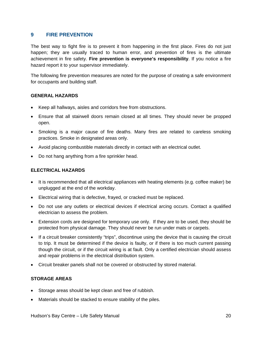### **9 FIRE PREVENTION**

The best way to fight fire is to prevent it from happening in the first place. Fires do not just happen; they are usually traced to human error, and prevention of fires is the ultimate achievement in fire safety. **Fire prevention is everyone's responsibility**. If you notice a fire hazard report it to your supervisor immediately.

The following fire prevention measures are noted for the purpose of creating a safe environment for occupants and building staff.

### **GENERAL HAZARDS**

- Keep all hallways, aisles and corridors free from obstructions.
- Ensure that all stairwell doors remain closed at all times. They should never be propped open.
- Smoking is a major cause of fire deaths. Many fires are related to careless smoking practices. Smoke in designated areas only.
- Avoid placing combustible materials directly in contact with an electrical outlet.
- Do not hang anything from a fire sprinkler head.

#### **ELECTRICAL HAZARDS**

- It is recommended that all electrical appliances with heating elements (e.g. coffee maker) be unplugged at the end of the workday.
- Electrical wiring that is defective, frayed, or cracked must be replaced.
- Do not use any outlets or electrical devices if electrical arcing occurs. Contact a qualified electrician to assess the problem.
- Extension cords are designed for temporary use only. If they are to be used, they should be protected from physical damage. They should never be run under mats or carpets.
- If a circuit breaker consistently "trips", discontinue using the device that is causing the circuit to trip. It must be determined if the device is faulty, or if there is too much current passing though the circuit, or if the circuit wiring is at fault. Only a certified electrician should assess and repair problems in the electrical distribution system.
- Circuit breaker panels shall not be covered or obstructed by stored material.

### **STORAGE AREAS**

- Storage areas should be kept clean and free of rubbish.
- Materials should be stacked to ensure stability of the piles.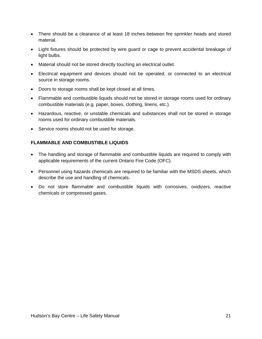- There should be a clearance of at least 18 inches between fire sprinkler heads and stored material.
- Light fixtures should be protected by wire guard or cage to prevent accidental breakage of light bulbs.
- Material should not be stored directly touching an electrical outlet.
- Electrical equipment and devices should not be operated, or connected to an electrical source in storage rooms.
- Doors to storage rooms shall be kept closed at all times.
- Flammable and combustible liquids should not be stored in storage rooms used for ordinary combustible materials (e.g. paper, boxes, clothing, linens, etc.).
- Hazardous, reactive, or unstable chemicals and substances shall not be stored in storage rooms used for ordinary combustible materials.
- Service rooms should not be used for storage.

### **FLAMMABLE AND COMBUSTIBLE LIQUIDS**

- The handling and storage of flammable and combustible liquids are required to comply with applicable requirements of the current Ontario Fire Code (OFC).
- Personnel using hazards chemicals are required to be familiar with the MSDS sheets, which describe the use and handling of chemicals.
- Do not store flammable and combustible liquids with corrosives, oxidizers, reactive chemicals or compressed gases.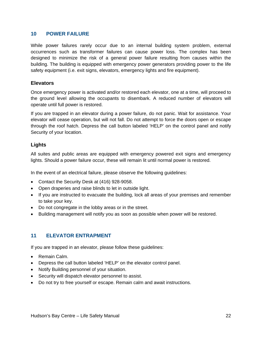### **10 POWER FAILURE**

While power failures rarely occur due to an internal building system problem, external occurrences such as transformer failures can cause power loss. The complex has been designed to minimize the risk of a general power failure resulting from causes within the building. The building is equipped with emergency power generators providing power to the life safety equipment (i.e. exit signs, elevators, emergency lights and fire equipment).

### **Elevators**

Once emergency power is activated and/or restored each elevator, one at a time, will proceed to the ground level allowing the occupants to disembark. A reduced number of elevators will operate until full power is restored.

If you are trapped in an elevator during a power failure, do not panic. Wait for assistance. Your elevator will cease operation, but will not fall. Do not attempt to force the doors open or escape through the roof hatch. Depress the call button labeled 'HELP' on the control panel and notify Security of your location.

### **Lights**

All suites and public areas are equipped with emergency powered exit signs and emergency lights. Should a power failure occur, these will remain lit until normal power is restored.

In the event of an electrical failure, please observe the following guidelines:

- Contact the Security Desk at (416) 928-9058.
- Open draperies and raise blinds to let in outside light.
- If you are instructed to evacuate the building, lock all areas of your premises and remember to take your key.
- Do not congregate in the lobby areas or in the street.
- Building management will notify you as soon as possible when power will be restored.

### **11 ELEVATOR ENTRAPMENT**

If you are trapped in an elevator, please follow these guidelines:

- Remain Calm.
- Depress the call button labeled 'HELP' on the elevator control panel.
- Notify Building personnel of your situation.
- Security will dispatch elevator personnel to assist.
- Do not try to free yourself or escape. Remain calm and await instructions.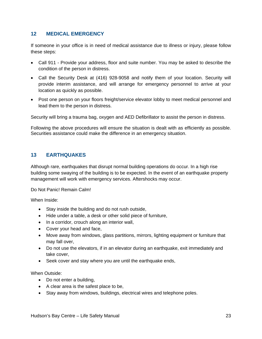### **12 MEDICAL EMERGENCY**

If someone in your office is in need of medical assistance due to illness or injury, please follow these steps:

- Call 911 Provide your address, floor and suite number. You may be asked to describe the condition of the person in distress.
- Call the Security Desk at (416) 928-9058 and notify them of your location. Security will provide interim assistance, and will arrange for emergency personnel to arrive at your location as quickly as possible.
- Post one person on your floors freight/service elevator lobby to meet medical personnel and lead them to the person in distress.

Security will bring a trauma bag, oxygen and AED Defibrillator to assist the person in distress.

Following the above procedures will ensure the situation is dealt with as efficiently as possible. Securities assistance could make the difference in an emergency situation.

### **13 EARTHQUAKES**

Although rare, earthquakes that disrupt normal building operations do occur. In a high rise building some swaying of the building is to be expected. In the event of an earthquake property management will work with emergency services. Aftershocks may occur.

Do Not Panic! Remain Calm!

When Inside:

- Stay inside the building and do not rush outside,
- Hide under a table, a desk or other solid piece of furniture,
- In a corridor, crouch along an interior wall,
- Cover your head and face,
- Move away from windows, glass partitions, mirrors, lighting equipment or furniture that may fall over,
- Do not use the elevators, if in an elevator during an earthquake, exit immediately and take cover,
- Seek cover and stay where you are until the earthquake ends,

When Outside:

- Do not enter a building,
- A clear area is the safest place to be,
- Stay away from windows, buildings, electrical wires and telephone poles.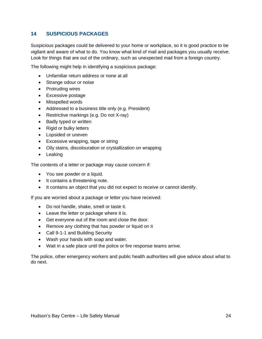# **14 SUSPICIOUS PACKAGES**

Suspicious packages could be delivered to your home or workplace, so it is good practice to be vigilant and aware of what to do. You know what kind of mail and packages you usually receive. Look for things that are out of the ordinary, such as unexpected mail from a foreign country.

The following might help in identifying a suspicious package:

- Unfamiliar return address or none at all
- Strange odour or noise
- Protruding wires
- Excessive postage
- Misspelled words
- Addressed to a business title only (e.g. President)
- Restrictive markings (e.g. Do not X-ray)
- Badly typed or written
- Rigid or bulky letters
- Lopsided or uneven
- Excessive wrapping, tape or string
- Oily stains, discolouration or crystallization on wrapping
- Leaking

The contents of a letter or package may cause concern if:

- You see powder or a liquid.
- It contains a threatening note.
- It contains an object that you did not expect to receive or cannot identify.

If you are worried about a package or letter you have received:

- Do not handle, shake, smell or taste it.
- Leave the letter or package where it is.
- Get everyone out of the room and close the door.
- Remove any clothing that has powder or liquid on it
- Call 9-1-1 and Building Security
- Wash your hands with soap and water.
- Wait in a safe place until the police or fire response teams arrive.

The police, other emergency workers and public health authorities will give advice about what to do next.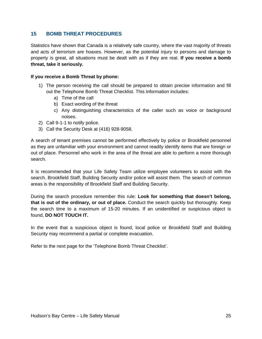### **15 BOMB THREAT PROCEDURES**

Statistics have shown that Canada is a relatively safe country, where the vast majority of threats and acts of terrorism are hoaxes. However, as the potential injury to persons and damage to property is great, all situations must be dealt with as if they are real. **If you receive a bomb threat, take it seriously.**

### **If you receive a Bomb Threat by phone:**

- 1) The person receiving the call should be prepared to obtain precise information and fill out the Telephone Bomb Threat Checklist. This information includes:
	- a) Time of the call
	- b) Exact wording of the threat
	- c) Any distinguishing characteristics of the caller such as voice or background noises.
- 2) Call 9-1-1 to notify police.
- 3) Call the Security Desk at (416) 928-9058.

A search of tenant premises cannot be performed effectively by police or Brookfield personnel as they are unfamiliar with your environment and cannot readily identify items that are foreign or out of place. Personnel who work in the area of the threat are able to perform a more thorough search.

It is recommended that your Life Safety Team utilize employee volunteers to assist with the search. Brookfield Staff, Building Security and/or police will assist them. The search of common areas is the responsibility of Brookfield Staff and Building Security.

During the search procedure remember this rule: **Look for something that doesn't belong, that is out of the ordinary, or out of place.** Conduct the search quickly but thoroughly. Keep the search time to a maximum of 15-20 minutes. If an unidentified or suspicious object is found, **DO NOT TOUCH IT.**

In the event that a suspicious object is found, local police or Brookfield Staff and Building Security may recommend a partial or complete evacuation.

Refer to the next page for the 'Telephone Bomb Threat Checklist'.